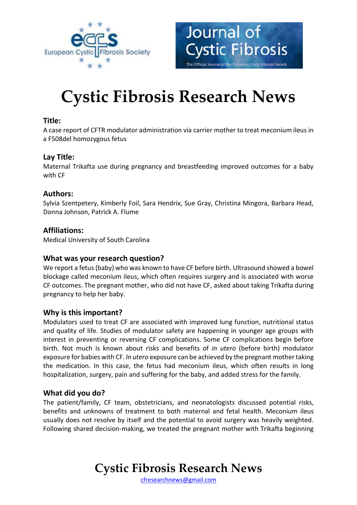



# **Cystic Fibrosis Research News**

### **Title:**

A case report of CFTR modulator administration via carrier mother to treat meconium ileus in a F508del homozygous fetus

# **Lay Title:**

Maternal Trikafta use during pregnancy and breastfeeding improved outcomes for a baby with CF

# **Authors:**

Sylvia Szentpetery, Kimberly Foil, Sara Hendrix, Sue Gray, Christina Mingora, Barbara Head, Donna Johnson, Patrick A. Flume

# **Affiliations:**

Medical University of South Carolina

#### **What was your research question?**

We report a fetus(baby) who was known to have CF before birth. Ultrasound showed a bowel blockage called meconium ileus, which often requires surgery and is associated with worse CF outcomes. The pregnant mother, who did not have CF, asked about taking Trikafta during pregnancy to help her baby.

#### **Why is this important?**

Modulators used to treat CF are associated with improved lung function, nutritional status and quality of life. Studies of modulator safety are happening in younger age groups with interest in preventing or reversing CF complications. Some CF complications begin before birth. Not much is known about risks and benefits of *in utero* (before birth) modulator exposure for babies with CF. *In utero* exposure can be achieved by the pregnant mother taking the medication. In this case, the fetus had meconium ileus, which often results in long hospitalization, surgery, pain and suffering for the baby, and added stress for the family.

# **What did you do?**

The patient/family, CF team, obstetricians, and neonatologists discussed potential risks, benefits and unknowns of treatment to both maternal and fetal health. Meconium ileus usually does not resolve by itself and the potential to avoid surgery was heavily weighted. Following shared decision-making, we treated the pregnant mother with Trikafta beginning

# **Cystic Fibrosis Research News**

[cfresearchnews@gmail.com](mailto:cfresearchnews@gmail.com)